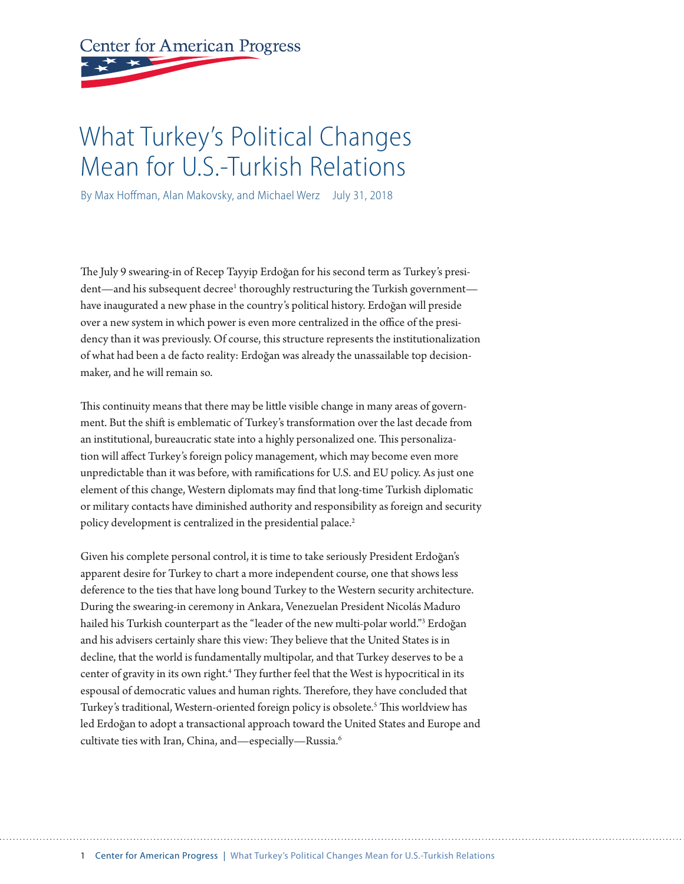# <span id="page-0-0"></span>**Center for American Progress**

## What Turkey's Political Changes Mean for U.S.-Turkish Relations

By Max Hoffman, Alan Makovsky, and Michael Werz July 31, 2018

The July 9 swearing-in of Recep Tayyip Erdoğan for his second term as Turkey's president—and his subsequent decree<sup>1</sup> thoroughly restructuring the Turkish government have inaugurated a new phase in the country's political history. Erdoğan will preside over a new system in which power is even more centralized in the office of the presidency than it was previously. Of course, this structure represents the institutionalization of what had been a de facto reality: Erdoğan was already the unassailable top decisionmaker, and he will remain so.

This continuity means that there may be little visible change in many areas of government. But the shift is emblematic of Turkey's transformation over the last decade from an institutional, bureaucratic state into a highly personalized one. This personalization will afect Turkey's foreign policy management, which may become even more unpredictable than it was before, with ramifcations for U.S. and EU policy. As just one element of this change, Western diplomats may fnd that long-time Turkish diplomatic or military contacts have diminished authority and responsibility as foreign and security policy development is centralized in the presidential palace.<sup>[2](#page-10-0)</sup>

Given his complete personal control, it is time to take seriously President Erdoğan's apparent desire for Turkey to chart a more independent course, one that shows less deference to the ties that have long bound Turkey to the Western security architecture. During the swearing-in ceremony in Ankara, Venezuelan President Nicolás Maduro hailed his Turkish counterpart as the "leader of the new multi-polar world."[3](#page-10-0) Erdoğan and his advisers certainly share this view: They believe that the United States is in decline, that the world is fundamentally multipolar, and that Turkey deserves to be a center of gravity in its own right.<sup>4</sup> They further feel that the West is hypocritical in its espousal of democratic values and human rights. Therefore, they have concluded that Turkey's traditional, Western-oriented foreign policy is obsolete.<sup>[5](#page-10-0)</sup> This worldview has led Erdoğan to adopt a transactional approach toward the United States and Europe and cultivate ties with Iran, China, and—especially—Russia.[6](#page-10-0)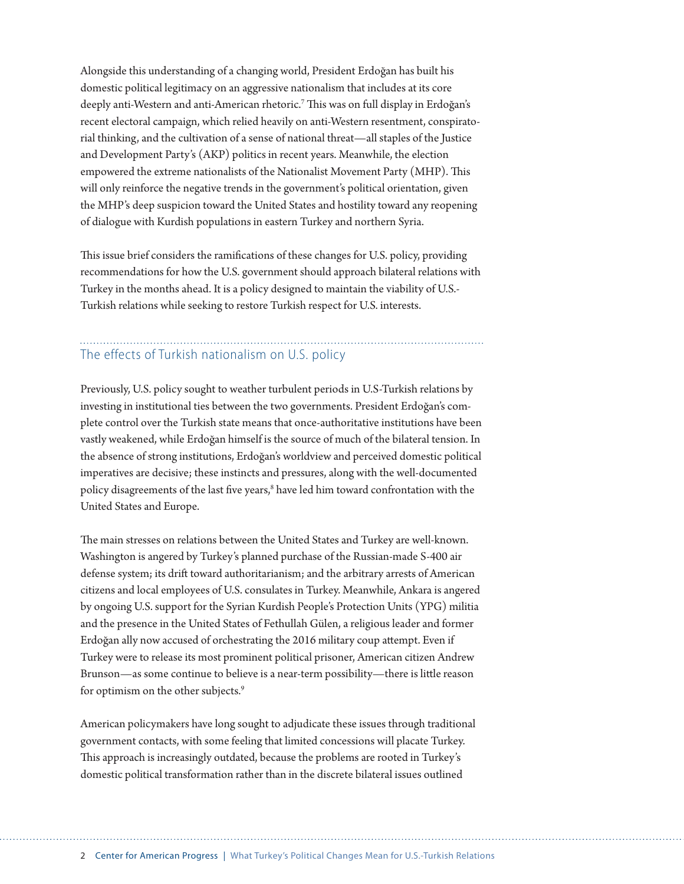<span id="page-1-0"></span>Alongside this understanding of a changing world, President Erdoğan has built his domestic political legitimacy on an aggressive nationalism that includes at its core deeply anti-Western and anti-American rhetoric.<sup>[7](#page-10-0)</sup> This was on full display in Erdoğan's recent electoral campaign, which relied heavily on anti-Western resentment, conspiratorial thinking, and the cultivation of a sense of national threat—all staples of the Justice and Development Party's (AKP) politics in recent years. Meanwhile, the election empowered the extreme nationalists of the Nationalist Movement Party (MHP). This will only reinforce the negative trends in the government's political orientation, given the MHP's deep suspicion toward the United States and hostility toward any reopening of dialogue with Kurdish populations in eastern Turkey and northern Syria.

This issue brief considers the ramifications of these changes for U.S. policy, providing recommendations for how the U.S. government should approach bilateral relations with Turkey in the months ahead. It is a policy designed to maintain the viability of U.S.- Turkish relations while seeking to restore Turkish respect for U.S. interests.

## The effects of Turkish nationalism on U.S. policy

Previously, U.S. policy sought to weather turbulent periods in U.S-Turkish relations by investing in institutional ties between the two governments. President Erdoğan's complete control over the Turkish state means that once-authoritative institutions have been vastly weakened, while Erdoğan himself is the source of much of the bilateral tension. In the absence of strong institutions, Erdoğan's worldview and perceived domestic political imperatives are decisive; these instincts and pressures, along with the well-documented policy disagreements of the last five years,<sup>8</sup> have led him toward confrontation with the United States and Europe.

The main stresses on relations between the United States and Turkey are well-known. Washington is angered by Turkey's planned purchase of the Russian-made S-400 air defense system; its drift toward authoritarianism; and the arbitrary arrests of American citizens and local employees of U.S. consulates in Turkey. Meanwhile, Ankara is angered by ongoing U.S. support for the Syrian Kurdish People's Protection Units (YPG) militia and the presence in the United States of Fethullah Gülen, a religious leader and former Erdoğan ally now accused of orchestrating the 2016 military coup atempt. Even if Turkey were to release its most prominent political prisoner, American citizen Andrew Brunson—as some continue to believe is a near-term possibility—there is litle reason for optimism on the other subjects.<sup>[9](#page-10-0)</sup>

American policymakers have long sought to adjudicate these issues through traditional government contacts, with some feeling that limited concessions will placate Turkey. This approach is increasingly outdated, because the problems are rooted in Turkey's domestic political transformation rather than in the discrete bilateral issues outlined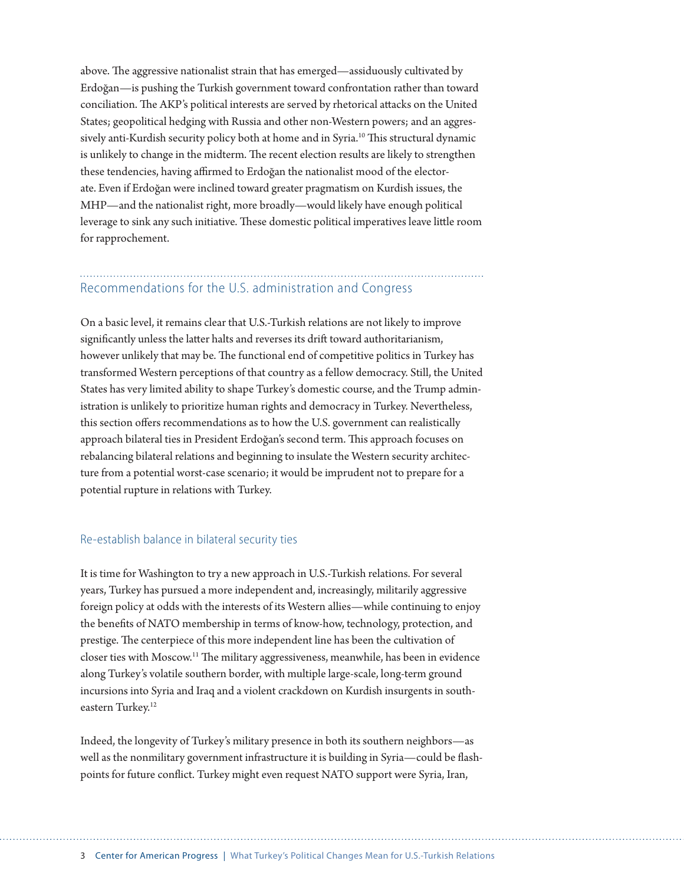<span id="page-2-0"></span>above. The aggressive nationalist strain that has emerged—assiduously cultivated by Erdoğan—is pushing the Turkish government toward confrontation rather than toward conciliation. The AKP's political interests are served by rhetorical attacks on the United States; geopolitical hedging with Russia and other non-Western powers; and an aggres-sively anti-Kurdish security policy both at home and in Syria.<sup>[10](#page-10-0)</sup> This structural dynamic is unlikely to change in the midterm. The recent election results are likely to strengthen these tendencies, having affirmed to Erdoğan the nationalist mood of the electorate. Even if Erdoğan were inclined toward greater pragmatism on Kurdish issues, the MHP—and the nationalist right, more broadly—would likely have enough political leverage to sink any such initiative. These domestic political imperatives leave little room for rapprochement.

### Recommendations for the U.S. administration and Congress

On a basic level, it remains clear that U.S.-Turkish relations are not likely to improve significantly unless the latter halts and reverses its drift toward authoritarianism, however unlikely that may be. The functional end of competitive politics in Turkey has transformed Western perceptions of that country as a fellow democracy. Still, the United States has very limited ability to shape Turkey's domestic course, and the Trump administration is unlikely to prioritize human rights and democracy in Turkey. Nevertheless, this section offers recommendations as to how the U.S. government can realistically approach bilateral ties in President Erdoğan's second term. This approach focuses on rebalancing bilateral relations and beginning to insulate the Western security architecture from a potential worst-case scenario; it would be imprudent not to prepare for a potential rupture in relations with Turkey.

#### Re-establish balance in bilateral security ties

It is time for Washington to try a new approach in U.S.-Turkish relations. For several years, Turkey has pursued a more independent and, increasingly, militarily aggressive foreign policy at odds with the interests of its Western allies—while continuing to enjoy the benefts of NATO membership in terms of know-how, technology, protection, and prestige. The centerpiece of this more independent line has been the cultivation of closer ties with Moscow.<sup>11</sup> The military aggressiveness, meanwhile, has been in evidence along Turkey's volatile southern border, with multiple large-scale, long-term ground incursions into Syria and Iraq and a violent crackdown on Kurdish insurgents in southeastern Turkey.<sup>12</sup>

Indeed, the longevity of Turkey's military presence in both its southern neighbors—as well as the nonmilitary government infrastructure it is building in Syria—could be fashpoints for future confict. Turkey might even request NATO support were Syria, Iran,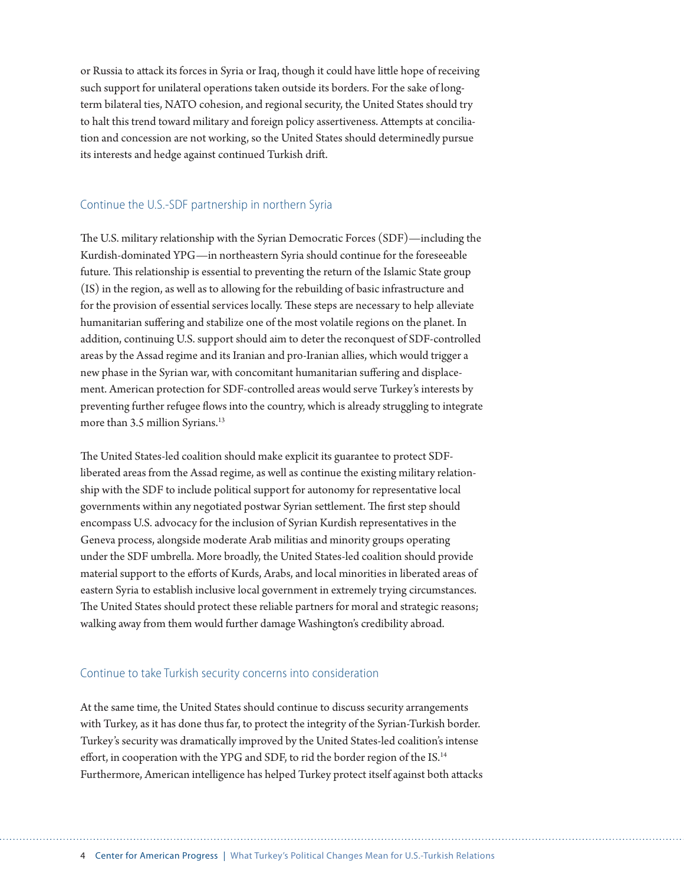<span id="page-3-0"></span>or Russia to atack its forces in Syria or Iraq, though it could have litle hope of receiving such support for unilateral operations taken outside its borders. For the sake of longterm bilateral ties, NATO cohesion, and regional security, the United States should try to halt this trend toward military and foreign policy assertiveness. Atempts at conciliation and concession are not working, so the United States should determinedly pursue its interests and hedge against continued Turkish drif.

#### Continue the U.S.-SDF partnership in northern Syria

The U.S. military relationship with the Syrian Democratic Forces (SDF)—including the Kurdish-dominated YPG—in northeastern Syria should continue for the foreseeable future. This relationship is essential to preventing the return of the Islamic State group (IS) in the region, as well as to allowing for the rebuilding of basic infrastructure and for the provision of essential services locally. These steps are necessary to help alleviate humanitarian sufering and stabilize one of the most volatile regions on the planet. In addition, continuing U.S. support should aim to deter the reconquest of SDF-controlled areas by the Assad regime and its Iranian and pro-Iranian allies, which would trigger a new phase in the Syrian war, with concomitant humanitarian sufering and displacement. American protection for SDF-controlled areas would serve Turkey's interests by preventing further refugee flows into the country, which is already struggling to integrate more than 3.5 million Syrians.<sup>13</sup>

The United States-led coalition should make explicit its guarantee to protect SDFliberated areas from the Assad regime, as well as continue the existing military relationship with the SDF to include political support for autonomy for representative local governments within any negotiated postwar Syrian settlement. The first step should encompass U.S. advocacy for the inclusion of Syrian Kurdish representatives in the Geneva process, alongside moderate Arab militias and minority groups operating under the SDF umbrella. More broadly, the United States-led coalition should provide material support to the eforts of Kurds, Arabs, and local minorities in liberated areas of eastern Syria to establish inclusive local government in extremely trying circumstances. The United States should protect these reliable partners for moral and strategic reasons; walking away from them would further damage Washington's credibility abroad.

#### Continue to take Turkish security concerns into consideration

At the same time, the United States should continue to discuss security arrangements with Turkey, as it has done thus far, to protect the integrity of the Syrian-Turkish border. Turkey's security was dramatically improved by the United States-led coalition's intense effort, in cooperation with the YPG and SDF, to rid the border region of the IS.<sup>14</sup> Furthermore, American intelligence has helped Turkey protect itself against both atacks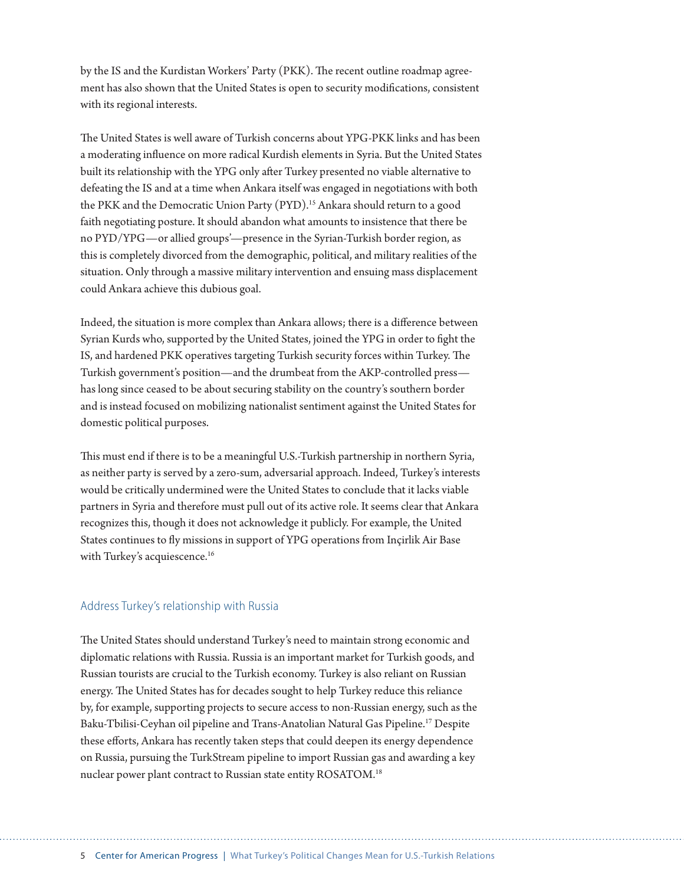<span id="page-4-0"></span>by the IS and the Kurdistan Workers' Party (PKK). The recent outline roadmap agreement has also shown that the United States is open to security modifcations, consistent with its regional interests.

The United States is well aware of Turkish concerns about YPG-PKK links and has been a moderating infuence on more radical Kurdish elements in Syria. But the United States built its relationship with the YPG only after Turkey presented no viable alternative to defeating the IS and at a time when Ankara itself was engaged in negotiations with both the PKK and the Democratic Union Party (PYD).<sup>15</sup> Ankara should return to a good faith negotiating posture. It should abandon what amounts to insistence that there be no PYD/YPG—or allied groups'—presence in the Syrian-Turkish border region, as this is completely divorced from the demographic, political, and military realities of the situation. Only through a massive military intervention and ensuing mass displacement could Ankara achieve this dubious goal.

Indeed, the situation is more complex than Ankara allows; there is a diference between Syrian Kurds who, supported by the United States, joined the YPG in order to fght the IS, and hardened PKK operatives targeting Turkish security forces within Turkey. The Turkish government's position—and the drumbeat from the AKP-controlled press has long since ceased to be about securing stability on the country's southern border and is instead focused on mobilizing nationalist sentiment against the United States for domestic political purposes.

Tis must end if there is to be a meaningful U.S.-Turkish partnership in northern Syria, as neither party is served by a zero-sum, adversarial approach. Indeed, Turkey's interests would be critically undermined were the United States to conclude that it lacks viable partners in Syria and therefore must pull out of its active role. It seems clear that Ankara recognizes this, though it does not acknowledge it publicly. For example, the United States continues to fy missions in support of YPG operations from Inçirlik Air Base with Turkey's acquiescence.<sup>[16](#page-10-0)</sup>

#### Address Turkey's relationship with Russia

The United States should understand Turkey's need to maintain strong economic and diplomatic relations with Russia. Russia is an important market for Turkish goods, and Russian tourists are crucial to the Turkish economy. Turkey is also reliant on Russian energy. The United States has for decades sought to help Turkey reduce this reliance by, for example, supporting projects to secure access to non-Russian energy, such as the Baku-Tbilisi-Ceyhan oil pipeline and Trans-Anatolian Natural Gas Pipeline.[17](#page-10-0) Despite these eforts, Ankara has recently taken steps that could deepen its energy dependence on Russia, pursuing the TurkStream pipeline to import Russian gas and awarding a key nuclear power plant contract to Russian state entity ROSATOM[.18](#page-10-0)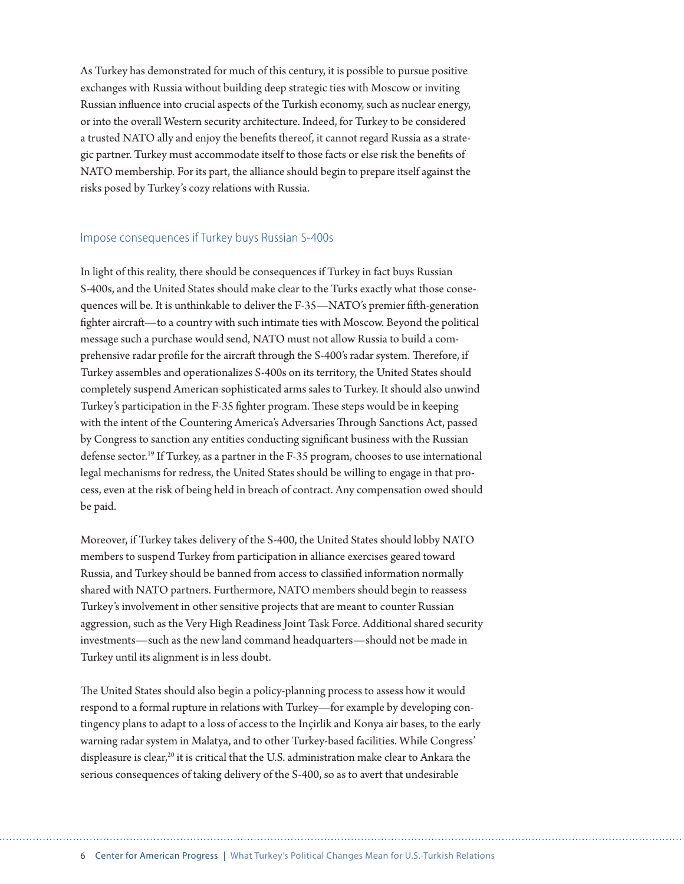<span id="page-5-0"></span>As Turkey has demonstrated for much of this century, it is possible to pursue positive exchanges with Russia without building deep strategic ties with Moscow or inviting Russian infuence into crucial aspects of the Turkish economy, such as nuclear energy, or into the overall Western security architecture. Indeed, for Turkey to be considered a trusted NATO ally and enjoy the benefts thereof, it cannot regard Russia as a strategic partner. Turkey must accommodate itself to those facts or else risk the benefts of NATO membership. For its part, the alliance should begin to prepare itself against the risks posed by Turkey's cozy relations with Russia.

#### Impose consequences if Turkey buys Russian S-400s

In light of this reality, there should be consequences if Turkey in fact buys Russian S-400s, and the United States should make clear to the Turks exactly what those consequences will be. It is unthinkable to deliver the F-35—NATO's premier ffh-generation fighter aircraft—to a country with such intimate ties with Moscow. Beyond the political message such a purchase would send, NATO must not allow Russia to build a comprehensive radar profile for the aircraft through the S-400's radar system. Therefore, if Turkey assembles and operationalizes S-400s on its territory, the United States should completely suspend American sophisticated arms sales to Turkey. It should also unwind Turkey's participation in the F-35 fighter program. These steps would be in keeping with the intent of the Countering America's Adversaries Through Sanctions Act, passed by Congress to sanction any entities conducting signifcant business with the Russian defense sector.<sup>19</sup> If Turkey, as a partner in the F-35 program, chooses to use international legal mechanisms for redress, the United States should be willing to engage in that process, even at the risk of being held in breach of contract. Any compensation owed should be paid.

Moreover, if Turkey takes delivery of the S-400, the United States should lobby NATO members to suspend Turkey from participation in alliance exercises geared toward Russia, and Turkey should be banned from access to classifed information normally shared with NATO partners. Furthermore, NATO members should begin to reassess Turkey's involvement in other sensitive projects that are meant to counter Russian aggression, such as the Very High Readiness Joint Task Force. Additional shared security investments—such as the new land command headquarters—should not be made in Turkey until its alignment is in less doubt.

The United States should also begin a policy-planning process to assess how it would respond to a formal rupture in relations with Turkey—for example by developing contingency plans to adapt to a loss of access to the Inçirlik and Konya air bases, to the early warning radar system in Malatya, and to other Turkey-based facilities. While Congress' displeasure is clear,<sup>[20](#page-10-0)</sup> it is critical that the U.S. administration make clear to Ankara the serious consequences of taking delivery of the S-400, so as to avert that undesirable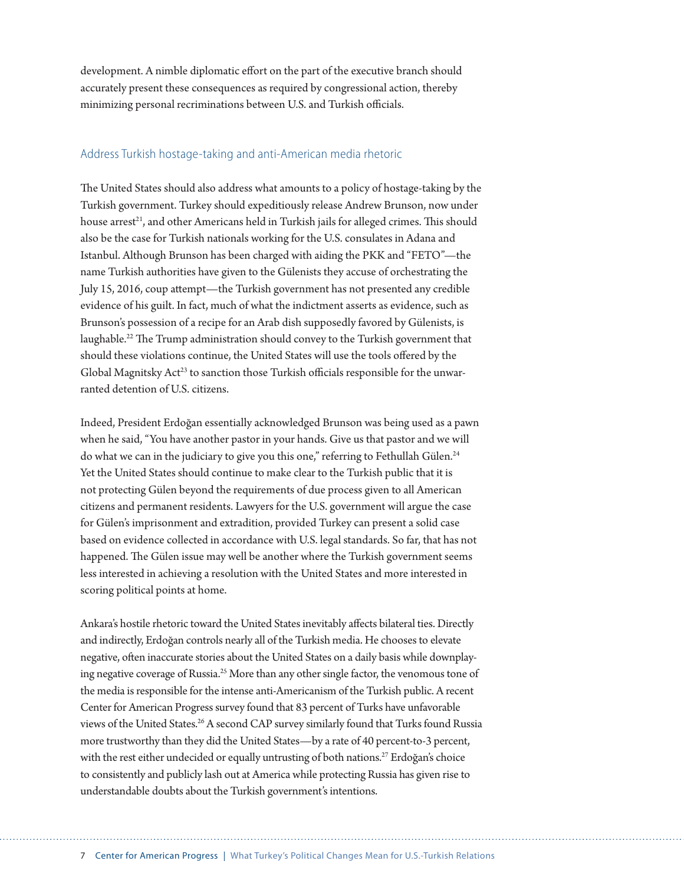<span id="page-6-0"></span>development. A nimble diplomatic efort on the part of the executive branch should accurately present these consequences as required by congressional action, thereby minimizing personal recriminations between U.S. and Turkish officials.

#### Address Turkish hostage-taking and anti-American media rhetoric

The United States should also address what amounts to a policy of hostage-taking by the Turkish government. Turkey should expeditiously release Andrew Brunson, now under house arrest<sup>21</sup>, and other Americans held in Turkish jails for alleged crimes. This should also be the case for Turkish nationals working for the U.S. consulates in Adana and Istanbul. Although Brunson has been charged with aiding the PKK and "FETO"—the name Turkish authorities have given to the Gülenists they accuse of orchestrating the July 15, 2016, coup atempt—the Turkish government has not presented any credible evidence of his guilt. In fact, much of what the indictment asserts as evidence, such as Brunson's possession of a recipe for an Arab dish supposedly favored by Gülenists, is laughable.<sup>22</sup> The Trump administration should convey to the Turkish government that should these violations continue, the United States will use the tools ofered by the Global Magnitsky  $Act^{23}$  to sanction those Turkish officials responsible for the unwarranted detention of U.S. citizens.

Indeed, President Erdoğan essentially acknowledged Brunson was being used as a pawn when he said, "You have another pastor in your hands. Give us that pastor and we will do what we can in the judiciary to give you this one," referring to Fethullah Gülen.<sup>24</sup> Yet the United States should continue to make clear to the Turkish public that it is not protecting Gülen beyond the requirements of due process given to all American citizens and permanent residents. Lawyers for the U.S. government will argue the case for Gülen's imprisonment and extradition, provided Turkey can present a solid case based on evidence collected in accordance with U.S. legal standards. So far, that has not happened. The Gülen issue may well be another where the Turkish government seems less interested in achieving a resolution with the United States and more interested in scoring political points at home.

Ankara's hostile rhetoric toward the United States inevitably afects bilateral ties. Directly and indirectly, Erdoğan controls nearly all of the Turkish media. He chooses to elevate negative, ofen inaccurate stories about the United States on a daily basis while downplaying negative coverage of Russia[.25](#page-11-0) More than any other single factor, the venomous tone of the media is responsible for the intense anti-Americanism of the Turkish public. A recent Center for American Progress survey found that 83 percent of Turks have unfavorable views of the United States.<sup>26</sup> A second CAP survey similarly found that Turks found Russia more trustworthy than they did the United States—by a rate of 40 percent-to-3 percent, with the rest either undecided or equally untrusting of both nations.<sup>27</sup> Erdoğan's choice to consistently and publicly lash out at America while protecting Russia has given rise to understandable doubts about the Turkish government's intentions.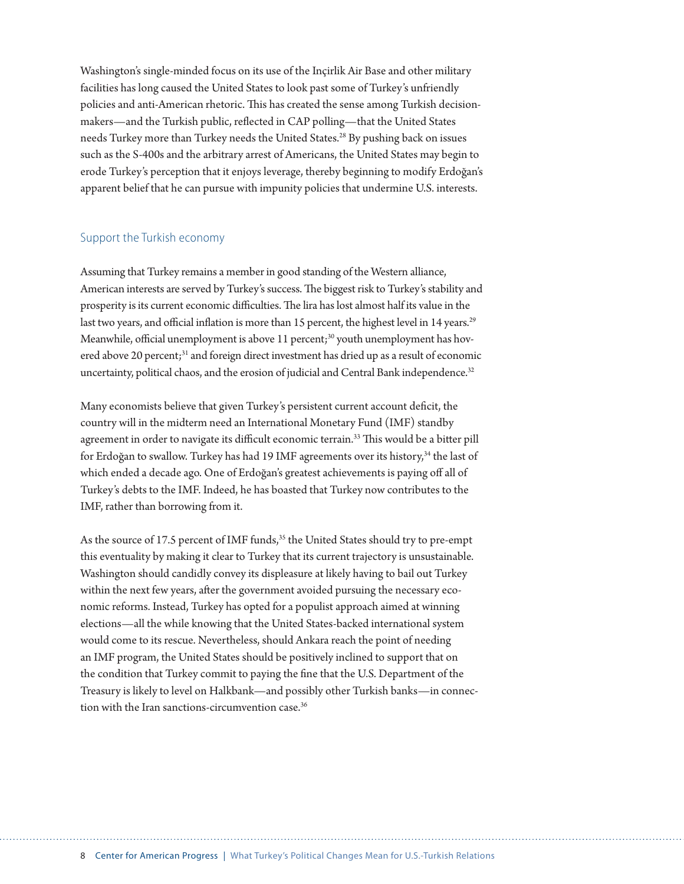<span id="page-7-0"></span>Washington's single-minded focus on its use of the Inçirlik Air Base and other military facilities has long caused the United States to look past some of Turkey's unfriendly policies and anti-American rhetoric. This has created the sense among Turkish decisionmakers—and the Turkish public, refected in CAP polling—that the United States needs Turkey more than Turkey needs the United States.[28](#page-11-0) By pushing back on issues such as the S-400s and the arbitrary arrest of Americans, the United States may begin to erode Turkey's perception that it enjoys leverage, thereby beginning to modify Erdoğan's apparent belief that he can pursue with impunity policies that undermine U.S. interests.

#### Support the Turkish economy

Assuming that Turkey remains a member in good standing of the Western alliance, American interests are served by Turkey's success. The biggest risk to Turkey's stability and prosperity is its current economic difficulties. The lira has lost almost half its value in the last two years, and official inflation is more than 15 percent, the highest level in 14 years.<sup>29</sup> Meanwhile, official unemployment is above 11 percent;<sup>30</sup> youth unemployment has hovered above 20 percent;<sup>31</sup> and foreign direct investment has dried up as a result of economic uncertainty, political chaos, and the erosion of judicial and Central Bank independence.<sup>[32](#page-11-0)</sup>

Many economists believe that given Turkey's persistent current account defcit, the country will in the midterm need an International Monetary Fund (IMF) standby agreement in order to navigate its difficult economic terrain.<sup>[33](#page-11-0)</sup> This would be a bitter pill for Erdoğan to swallow. Turkey has had 19 IMF agreements over its history,<sup>34</sup> the last of which ended a decade ago. One of Erdoğan's greatest achievements is paying of all of Turkey's debts to the IMF. Indeed, he has boasted that Turkey now contributes to the IMF, rather than borrowing from it.

As the source of 17.5 percent of IMF funds,<sup>35</sup> the United States should try to pre-empt this eventuality by making it clear to Turkey that its current trajectory is unsustainable. Washington should candidly convey its displeasure at likely having to bail out Turkey within the next few years, after the government avoided pursuing the necessary economic reforms. Instead, Turkey has opted for a populist approach aimed at winning elections—all the while knowing that the United States-backed international system would come to its rescue. Nevertheless, should Ankara reach the point of needing an IMF program, the United States should be positively inclined to support that on the condition that Turkey commit to paying the fne that the U.S. Department of the Treasury is likely to level on Halkbank—and possibly other Turkish banks—in connection with the Iran sanctions-circumvention case.<sup>36</sup>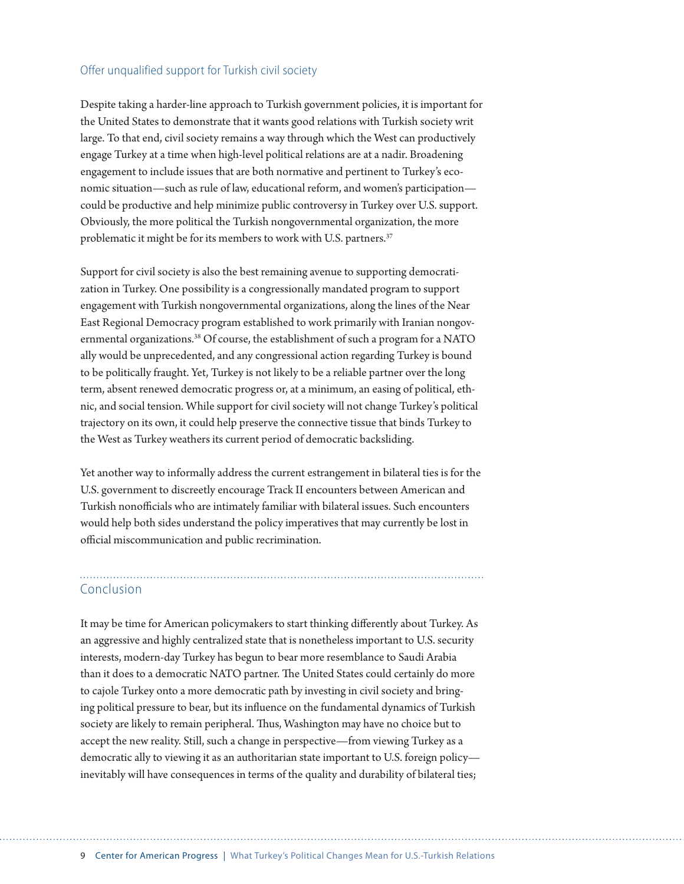#### <span id="page-8-0"></span>Offer unqualified support for Turkish civil society

Despite taking a harder-line approach to Turkish government policies, it is important for the United States to demonstrate that it wants good relations with Turkish society writ large. To that end, civil society remains a way through which the West can productively engage Turkey at a time when high-level political relations are at a nadir. Broadening engagement to include issues that are both normative and pertinent to Turkey's economic situation—such as rule of law, educational reform, and women's participation could be productive and help minimize public controversy in Turkey over U.S. support. Obviously, the more political the Turkish nongovernmental organization, the more problematic it might be for its members to work with U.S. partners.<sup>[37](#page-11-0)</sup>

Support for civil society is also the best remaining avenue to supporting democratization in Turkey. One possibility is a congressionally mandated program to support engagement with Turkish nongovernmental organizations, along the lines of the Near East Regional Democracy program established to work primarily with Iranian nongovernmental organizations.<sup>38</sup> Of course, the establishment of such a program for a NATO ally would be unprecedented, and any congressional action regarding Turkey is bound to be politically fraught. Yet, Turkey is not likely to be a reliable partner over the long term, absent renewed democratic progress or, at a minimum, an easing of political, ethnic, and social tension. While support for civil society will not change Turkey's political trajectory on its own, it could help preserve the connective tissue that binds Turkey to the West as Turkey weathers its current period of democratic backsliding.

Yet another way to informally address the current estrangement in bilateral ties is for the U.S. government to discreetly encourage Track II encounters between American and Turkish nonofficials who are intimately familiar with bilateral issues. Such encounters would help both sides understand the policy imperatives that may currently be lost in official miscommunication and public recrimination.

#### Conclusion

It may be time for American policymakers to start thinking diferently about Turkey. As an aggressive and highly centralized state that is nonetheless important to U.S. security interests, modern-day Turkey has begun to bear more resemblance to Saudi Arabia than it does to a democratic NATO partner. The United States could certainly do more to cajole Turkey onto a more democratic path by investing in civil society and bringing political pressure to bear, but its infuence on the fundamental dynamics of Turkish society are likely to remain peripheral. Thus, Washington may have no choice but to accept the new reality. Still, such a change in perspective—from viewing Turkey as a democratic ally to viewing it as an authoritarian state important to U.S. foreign policy inevitably will have consequences in terms of the quality and durability of bilateral ties;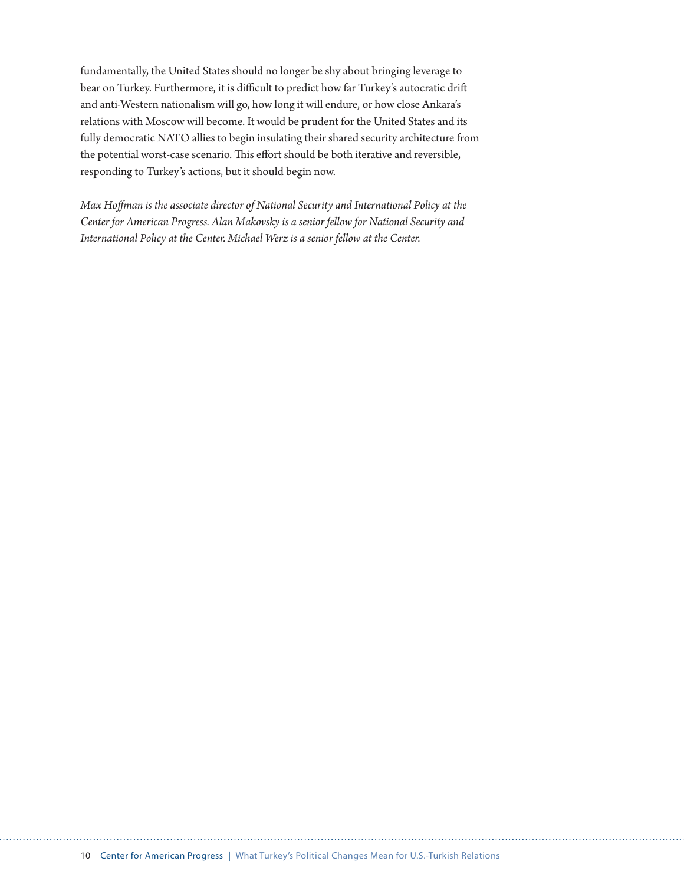fundamentally, the United States should no longer be shy about bringing leverage to bear on Turkey. Furthermore, it is difficult to predict how far Turkey's autocratic drift and anti-Western nationalism will go, how long it will endure, or how close Ankara's relations with Moscow will become. It would be prudent for the United States and its fully democratic NATO allies to begin insulating their shared security architecture from the potential worst-case scenario. This effort should be both iterative and reversible, responding to Turkey's actions, but it should begin now.

*Max Hofman is the associate director of National Security and International Policy at the Center for American Progress. Alan Makovsky is a senior fellow for National Security and International Policy at the Center. Michael Werz is a senior fellow at the Center.*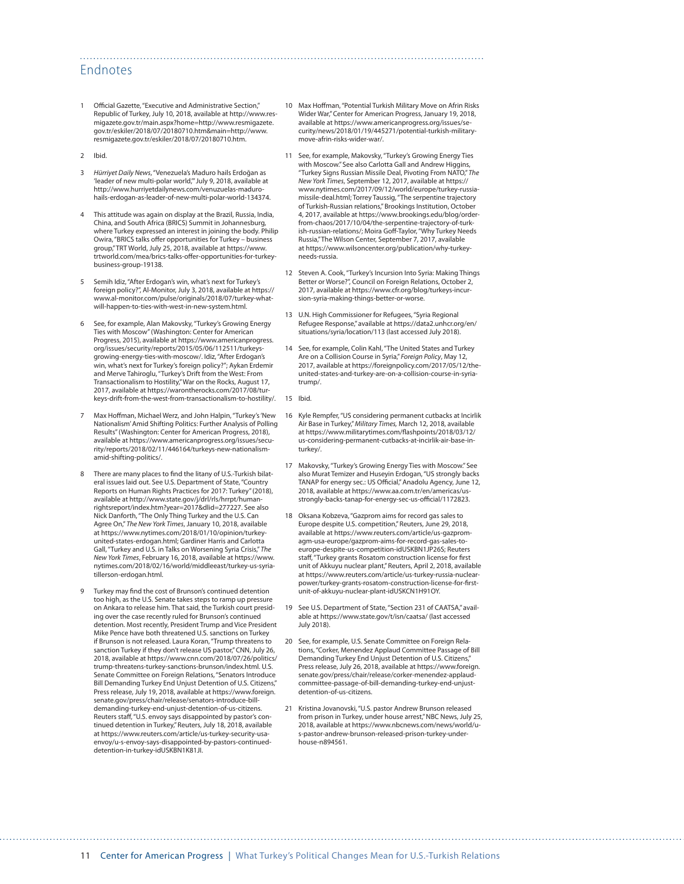#### <span id="page-10-0"></span>Endnotes

- Official Gazette, "Executive and Administrative Section," Republic of Turkey, July 10, 2018, available at [http://www.res](http://www.resmigazete.gov.tr/main.aspx?home=http://www.resmigazete.gov.tr/eskiler/2018/07/20180710.htm&main=http://www.resmigazete.gov.tr/eskiler/2018/07/20180710.htm)[migazete.gov.tr/main.aspx?home=http://www.resmigazete.](http://www.resmigazete.gov.tr/main.aspx?home=http://www.resmigazete.gov.tr/eskiler/2018/07/20180710.htm&main=http://www.resmigazete.gov.tr/eskiler/2018/07/20180710.htm) [gov.tr/eskiler/2018/07/20180710.htm&main=http://www.](http://www.resmigazete.gov.tr/main.aspx?home=http://www.resmigazete.gov.tr/eskiler/2018/07/20180710.htm&main=http://www.resmigazete.gov.tr/eskiler/2018/07/20180710.htm) [resmigazete.gov.tr/eskiler/2018/07/20180710.htm](http://www.resmigazete.gov.tr/main.aspx?home=http://www.resmigazete.gov.tr/eskiler/2018/07/20180710.htm&main=http://www.resmigazete.gov.tr/eskiler/2018/07/20180710.htm).
- [2](#page-0-0) Ibid.
- [3](#page-0-0) *Hürriyet Daily News*, "Venezuela's Maduro hails Erdoğan as 'leader of new multi-polar world,'" July 9, 2018, available at [http://www.hurriyetdailynews.com/venuzuelas-maduro](http://www.hurriyetdailynews.com/venuzuelas-maduro-hails-erdogan-as-leader-of-new-multi-polar-world-134374)[hails-erdogan-as-leader-of-new-multi-polar-world-134374](http://www.hurriyetdailynews.com/venuzuelas-maduro-hails-erdogan-as-leader-of-new-multi-polar-world-134374).
- [4](#page-0-0) This attitude was again on display at the Brazil, Russia, India, China, and South Africa (BRICS) Summit in Johannesburg, where Turkey expressed an interest in joining the body. Philip Owira, "BRICS talks offer opportunities for Turkey – business<br>group," TRT World, July 25, 2018, available at [https://www.](https://www.trtworld.com/mea/brics-talks-offer-opportunities-for-turkey-business-group-19138) [trtworld.com/mea/brics-talks-o](https://www.trtworld.com/mea/brics-talks-offer-opportunities-for-turkey-business-group-19138)fer-opportunities-for-turkey[business-group-19138.](https://www.trtworld.com/mea/brics-talks-offer-opportunities-for-turkey-business-group-19138)
- [5](#page-0-0) Semih Idiz, "After Erdogan's win, what's next for Turkey's foreign policy?", Al-Monitor, July 3, 2018, available at [https://](https://www.al-monitor.com/pulse/originals/2018/07/turkey-what-will-happen-to-ties-with-west-in-new-system.html) [www.al-monitor.com/pulse/originals/2018/07/turkey-what](https://www.al-monitor.com/pulse/originals/2018/07/turkey-what-will-happen-to-ties-with-west-in-new-system.html)[will-happen-to-ties-with-west-in-new-system.html.](https://www.al-monitor.com/pulse/originals/2018/07/turkey-what-will-happen-to-ties-with-west-in-new-system.html)
- [6](#page-0-0) See, for example, Alan Makovsky, "Turkey's Growing Energy Ties with Moscow" (Washington: Center for American Progress, 2015), available at [https://www.americanprogress.](https://www.americanprogress.org/issues/security/reports/2015/05/06/112511/turkeys-growing-energy-ties-with-moscow/) [org/issues/security/reports/2015/05/06/112511/turkeys](https://www.americanprogress.org/issues/security/reports/2015/05/06/112511/turkeys-growing-energy-ties-with-moscow/)[growing-energy-ties-with-moscow/](https://www.americanprogress.org/issues/security/reports/2015/05/06/112511/turkeys-growing-energy-ties-with-moscow/). Idiz, "After Erdogan's win, what's next for Turkey's foreign policy?"; Aykan Erdemir and Merve Tahiroglu, "Turkey's Drift from the West: From Transactionalism to Hostility," War on the Rocks, August 17, 2017, available at [https://warontherocks.com/2017/08/tur](https://warontherocks.com/2017/08/turkeys-drift-from-the-west-from-transactionalism-to-hostility/)[keys-drift-from-the-west-from-transactionalism-to-hostility/.](https://warontherocks.com/2017/08/turkeys-drift-from-the-west-from-transactionalism-to-hostility/)
- Max Hoffman, Michael Werz, and John Halpin, "Turkey's 'New Nationalism' Amid Shifting Politics: Further Analysis of Polling Results" (Washington: Center for American Progress, 2018), available at [https://www.americanprogress.org/issues/secu](https://www.americanprogress.org/issues/security/reports/2018/02/11/446164/turkeys-new-nationalism-amid-shifting-politics/)[rity/reports/2018/02/11/446164/turkeys-new-nationalism](https://www.americanprogress.org/issues/security/reports/2018/02/11/446164/turkeys-new-nationalism-amid-shifting-politics/)[amid-shifting-politics/](https://www.americanprogress.org/issues/security/reports/2018/02/11/446164/turkeys-new-nationalism-amid-shifting-politics/).
- [8](#page-1-0) There are many places to fnd the litany of U.S.-Turkish bilateral issues laid out. See U.S. Department of State, "Country Reports on Human Rights Practices for 2017: Turkey" (2018), available at [http://www.state.gov/j/drl/rls/hrrpt/human](http://www.state.gov/j/drl/rls/hrrpt/humanrightsreport/index.htm?year=2017&dlid=277227)[rightsreport/index.htm?year=2017&dlid=277227.](http://www.state.gov/j/drl/rls/hrrpt/humanrightsreport/index.htm?year=2017&dlid=277227) See also Nick Danforth, "The Only Thing Turkey and the U.S. Can Agree On," *The New York Times*, January 10, 2018, available at [https://www.nytimes.com/2018/01/10/opinion/turkey](https://www.nytimes.com/2018/01/10/opinion/turkey-united-states-erdogan.html)[united-states-erdogan.html;](https://www.nytimes.com/2018/01/10/opinion/turkey-united-states-erdogan.html) Gardiner Harris and Carlotta Gall, "Turkey and U.S. in Talks on Worsening Syria Crisis," *The New York Times*, February 16, 2018, available at [https://www.](https://www.nytimes.com/2018/02/16/world/middleeast/turkey-us-syria-tillerson-erdogan.html) [nytimes.com/2018/02/16/world/middleeast/turkey-us-syria](https://www.nytimes.com/2018/02/16/world/middleeast/turkey-us-syria-tillerson-erdogan.html)[tillerson-erdogan.html.](https://www.nytimes.com/2018/02/16/world/middleeast/turkey-us-syria-tillerson-erdogan.html)
- [9](#page-1-0) Turkey may fnd the cost of Brunson's continued detention too high, as the U.S. Senate takes steps to ramp up pressure on Ankara to release him. That said, the Turkish court presiding over the case recently ruled for Brunson's continued detention. Most recently, President Trump and Vice President Mike Pence have both threatened U.S. sanctions on Turkey if Brunson is not released. Laura Koran, "Trump threatens to sanction Turkey if they don't release US pastor," CNN, July 26, 2018, available at [https://www.cnn.com/2018/07/26/politics/](https://www.cnn.com/2018/07/26/politics/trump-threatens-turkey-sanctions-brunson/index.html) [trump-threatens-turkey-sanctions-brunson/index.html.](https://www.cnn.com/2018/07/26/politics/trump-threatens-turkey-sanctions-brunson/index.html) U.S. Senate Committee on Foreign Relations, "Senators Introduce Bill Demanding Turkey End Unjust Detention of U.S. Citizens, Press release, July 19, 2018, available at [https://www.foreign.](https://www.foreign.senate.gov/press/chair/release/senators-introduce-bill-demanding-turkey-end-unjust-detention-of-us-citizens) [senate.gov/press/chair/release/senators-introduce-bill](https://www.foreign.senate.gov/press/chair/release/senators-introduce-bill-demanding-turkey-end-unjust-detention-of-us-citizens)[demanding-turkey-end-unjust-detention-of-us-citizens](https://www.foreign.senate.gov/press/chair/release/senators-introduce-bill-demanding-turkey-end-unjust-detention-of-us-citizens). Reuters staf, "U.S. envoy says disappointed by pastor's continued detention in Turkey," Reuters, July 18, 2018, available at [https://www.reuters.com/article/us-turkey-security-usa](https://www.reuters.com/article/us-turkey-security-usa-envoy/u-s-envoy-says-disappointed-by-pastors-continued-detention-in-turkey-idUSKBN1K81JI)[envoy/u-s-envoy-says-disappointed-by-pastors-continued](https://www.reuters.com/article/us-turkey-security-usa-envoy/u-s-envoy-says-disappointed-by-pastors-continued-detention-in-turkey-idUSKBN1K81JI)[detention-in-turkey-idUSKBN1K81JI](https://www.reuters.com/article/us-turkey-security-usa-envoy/u-s-envoy-says-disappointed-by-pastors-continued-detention-in-turkey-idUSKBN1K81JI).
- Max Hoffman, "Potential Turkish Military Move on Afrin Risks Wider War," Center for American Progress, January 19, 2018, available at [https://www.americanprogress.org/issues/se](https://www.americanprogress.org/issues/security/news/2018/01/19/445271/potential-turkish-military-move-afrin-risks-wider-war/)[curity/news/2018/01/19/445271/potential-turkish-military](https://www.americanprogress.org/issues/security/news/2018/01/19/445271/potential-turkish-military-move-afrin-risks-wider-war/)[move-afrin-risks-wider-war/](https://www.americanprogress.org/issues/security/news/2018/01/19/445271/potential-turkish-military-move-afrin-risks-wider-war/).
- [11](#page-2-0) See, for example, Makovsky, "Turkey's Growing Energy Ties with Moscow." See also Carlotta Gall and Andrew Higgins "Turkey Signs Russian Missile Deal, Pivoting From NATO," *The New York Times*, September 12, 2017, available at [https://](https://www.nytimes.com/2017/09/12/world/europe/turkey-russia-missile-deal.html) [www.nytimes.com/2017/09/12/world/europe/turkey-russia](https://www.nytimes.com/2017/09/12/world/europe/turkey-russia-missile-deal.html)[missile-deal.html;](https://www.nytimes.com/2017/09/12/world/europe/turkey-russia-missile-deal.html) Torrey Taussig, "The serpentine trajectory of Turkish-Russian relations," Brookings Institution, October 4, 2017, available at [https://www.brookings.edu/blog/order](https://www.brookings.edu/blog/order-from-chaos/2017/10/04/the-serpentine-trajectory-of-turkish-russian-relations/)[from-chaos/2017/10/04/the-serpentine-trajectory-of-turk](https://www.brookings.edu/blog/order-from-chaos/2017/10/04/the-serpentine-trajectory-of-turkish-russian-relations/)[ish-russian-relations/;](https://www.brookings.edu/blog/order-from-chaos/2017/10/04/the-serpentine-trajectory-of-turkish-russian-relations/) Moira Goff-Taylor, "Why Turkey Needs Russia," The Wilson Center, September 7, 2017, available at [https://www.wilsoncenter.org/publication/why-turkey](https://www.wilsoncenter.org/publication/why-turkey-needs-russia)[needs-russia](https://www.wilsoncenter.org/publication/why-turkey-needs-russia).
- [12](#page-2-0) Steven A. Cook, "Turkey's Incursion Into Syria: Making Things Better or Worse?", Council on Foreign Relations, October 2, 2017, available at [https://www.cfr.org/blog/turkeys-incur](https://www.cfr.org/blog/turkeys-incursion-syria-making-things-better-or-worse)[sion-syria-making-things-better-or-worse.](https://www.cfr.org/blog/turkeys-incursion-syria-making-things-better-or-worse)
- [13](#page-3-0) U.N. High Commissioner for Refugees, "Syria Regional Refugee Response," available at [https://data2.unhcr.org/en/](https://data2.unhcr.org/en/situations/syria/location/113) [situations/syria/location/113](https://data2.unhcr.org/en/situations/syria/location/113) (last accessed July 2018).
- [14](#page-3-0) See, for example, Colin Kahl, "The United States and Turkey Are on a Collision Course in Syria," *Foreign Policy*, May 12, 2017, available at [https://foreignpolicy.com/2017/05/12/the](https://foreignpolicy.com/2017/05/12/the-united-states-and-turkey-are-on-a-collision-course-in-syria-trump/)[united-states-and-turkey-are-on-a-collision-course-in-syria](https://foreignpolicy.com/2017/05/12/the-united-states-and-turkey-are-on-a-collision-course-in-syria-trump/)[trump/](https://foreignpolicy.com/2017/05/12/the-united-states-and-turkey-are-on-a-collision-course-in-syria-trump/).
- [15](#page-4-0) Ibid.

- [16](#page-4-0) Kyle Rempfer, "US considering permanent cutbacks at Incirlik Air Base in Turkey," *Military Times,* March 12, 2018, available at [https://www.militarytimes.com/](https://www.militarytimes.com/flashpoints/2018/03/12/us-considering-permanent-cutbacks-at-incirlik-air-base-in-turkey/)fashpoints/2018/03/12/ [us-considering-permanent-cutbacks-at-incirlik-air-base-in](https://www.militarytimes.com/flashpoints/2018/03/12/us-considering-permanent-cutbacks-at-incirlik-air-base-in-turkey/)[turkey/.](https://www.militarytimes.com/flashpoints/2018/03/12/us-considering-permanent-cutbacks-at-incirlik-air-base-in-turkey/)
- [17](#page-4-0) Makovsky, "Turkey's Growing Energy Ties with Moscow." See also Murat Temizer and Huseyin Erdogan, "US strongly backs TANAP for energy sec.: US Official," Anadolu Agency, June 12, 2018, available at [https://www.aa.com.tr/en/americas/us](https://www.aa.com.tr/en/americas/us-strongly-backs-tanap-for-energy-sec-us-official/1172823)[strongly-backs-tanap-for-energy-sec-us-o](https://www.aa.com.tr/en/americas/us-strongly-backs-tanap-for-energy-sec-us-official/1172823)fficial/1172823.
- [18](#page-4-0) Oksana Kobzeva, "Gazprom aims for record gas sales to Europe despite U.S. competition," Reuters, June 29, 2018, available at [https://www.reuters.com/article/us-gazprom](https://www.reuters.com/article/us-gazprom-agm-usa-europe/gazprom-aims-for-record-gas-sales-to-europe-despite-us-competition-idUSKBN1JP26S)[agm-usa-europe/gazprom-aims-for-record-gas-sales-to](https://www.reuters.com/article/us-gazprom-agm-usa-europe/gazprom-aims-for-record-gas-sales-to-europe-despite-us-competition-idUSKBN1JP26S)[europe-despite-us-competition-idUSKBN1JP26S;](https://www.reuters.com/article/us-gazprom-agm-usa-europe/gazprom-aims-for-record-gas-sales-to-europe-despite-us-competition-idUSKBN1JP26S) Reuters staf, "Turkey grants Rosatom construction license for frst unit of Akkuyu nuclear plant," Reuters, April 2, 2018, available at [https://www.reuters.com/article/us-turkey-russia-nuclear](https://www.reuters.com/article/us-turkey-russia-nuclearpower/turkey-grants-rosatom-construction-license-for-first-unit-of-akkuyu-nuclear-plant-idUSKCN1H91OY)[power/turkey-grants-rosatom-construction-license-for-](https://www.reuters.com/article/us-turkey-russia-nuclearpower/turkey-grants-rosatom-construction-license-for-first-unit-of-akkuyu-nuclear-plant-idUSKCN1H91OY)frst[unit-of-akkuyu-nuclear-plant-idUSKCN1H91OY.](https://www.reuters.com/article/us-turkey-russia-nuclearpower/turkey-grants-rosatom-construction-license-for-first-unit-of-akkuyu-nuclear-plant-idUSKCN1H91OY)
- [19](#page-5-0) See U.S. Department of State, "Section 231 of CAATSA," available at <https://www.state.gov/t/isn/caatsa/>(last accessed July 2018).
- See, for example, U.S. Senate Committee on Foreign Relations, "Corker, Menendez Applaud Committee Passage of Bill Demanding Turkey End Unjust Detention of U.S. Citizens," Press release, July 26, 2018, available at [https://www.foreign.](https://www.foreign.senate.gov/press/chair/release/corker-menendez-applaud-committee-passage-of-bill-demanding-turkey-end-unjust-detention-of-us-citizens) [senate.gov/press/chair/release/corker-menendez-applaud](https://www.foreign.senate.gov/press/chair/release/corker-menendez-applaud-committee-passage-of-bill-demanding-turkey-end-unjust-detention-of-us-citizens)[committee-passage-of-bill-demanding-turkey-end-unjust](https://www.foreign.senate.gov/press/chair/release/corker-menendez-applaud-committee-passage-of-bill-demanding-turkey-end-unjust-detention-of-us-citizens)[detention-of-us-citizens](https://www.foreign.senate.gov/press/chair/release/corker-menendez-applaud-committee-passage-of-bill-demanding-turkey-end-unjust-detention-of-us-citizens).
- [21](#page-6-0) Kristina Jovanovski, "U.S. pastor Andrew Brunson released from prison in Turkey, under house arrest," NBC News, July 25, 2018, available at [https://www.nbcnews.com/news/world/u](https://www.nbcnews.com/news/world/u-s-pastor-andrew-brunson-released-prison-turkey-under-house-n894561)[s-pastor-andrew-brunson-released-prison-turkey-under](https://www.nbcnews.com/news/world/u-s-pastor-andrew-brunson-released-prison-turkey-under-house-n894561)[house-n894561.](https://www.nbcnews.com/news/world/u-s-pastor-andrew-brunson-released-prison-turkey-under-house-n894561)